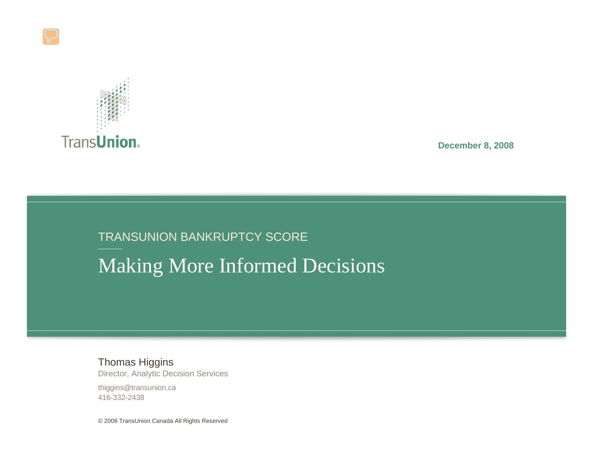

**December 8, 2008**

#### TRANSUNION BANKRUPTCY SCORE Making More Informed Decisions

Thomas Higgins Director, Analytic Decision Services

thiggins@transunion.ca 416-332-2438

© 2008 TransUnion Canada All Rights Reserved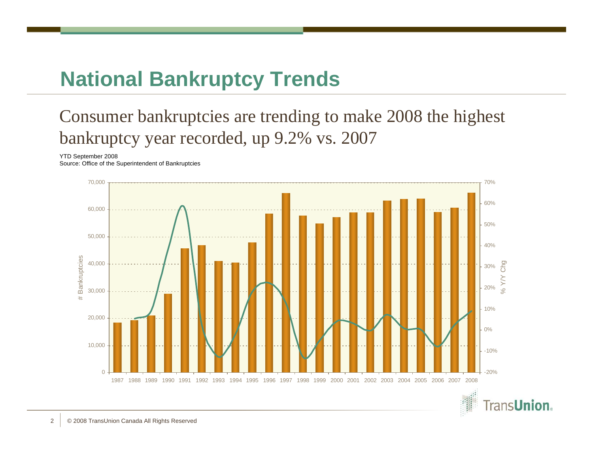### **National Bankruptcy Trends**

#### Consumer bankruptcies are trending to make 2008 the highest bankruptcy year recorded, up 9.2% vs. 2007

#### YTD September 2008

Source: Office of the Superintendent of Bankruptcies



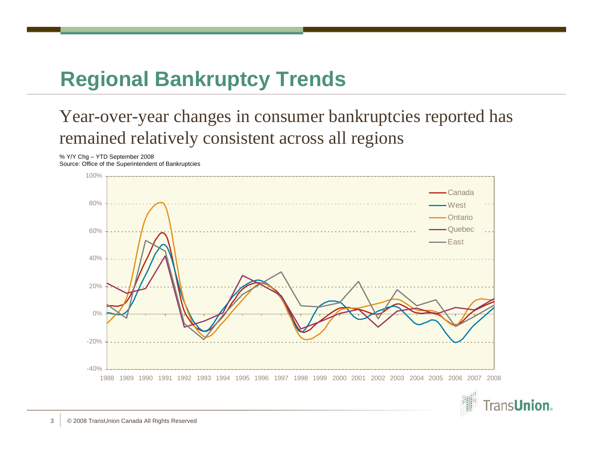### **Regional Bankruptcy Trends**

#### Year-over-year changes in consumer bankruptcies reported has remained relatively consistent across all regions

% Y/Y Chg – YTD September 2008 Source: Office of the Superintendent of Bankruptcies



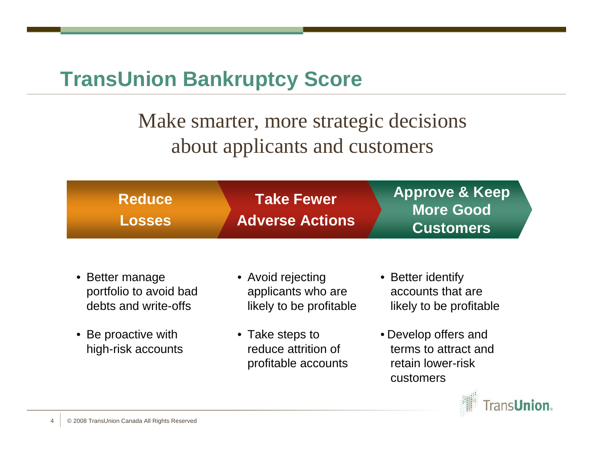#### **TransUnion Bankruptcy Score**

#### Make smarter, more strategic decisions about applicants and customers

| <b>Reduce</b> | <b>Take Fewer</b>      | <b>Approve &amp; Keep</b>     |
|---------------|------------------------|-------------------------------|
| <b>Losses</b> | <b>Adverse Actions</b> | More Good<br><b>Customers</b> |

- Better manage portfolio to avoid bad debts and write-offs
- Be proactive with high-risk accounts
- Avoid rejecting applicants who are likely to be profitable
- Take steps to reduce attrition of profitable accounts
- Better identify accounts that are likely to be profitable
- Develop offers and terms to attract and retain lower-risk customers

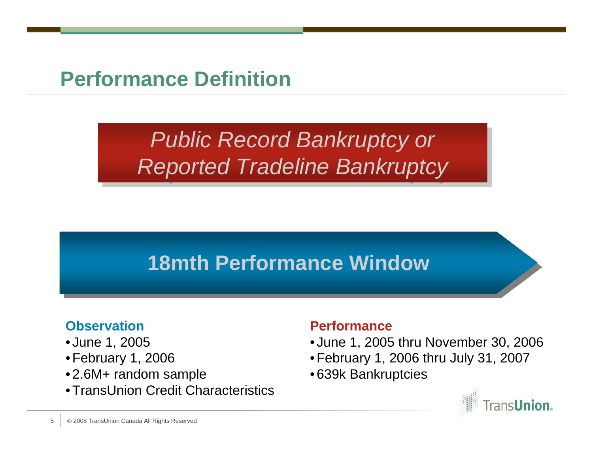#### **Performance Definition**

# *Public Record Bankruptcy or Public Record Bankruptcy or Reported Tradeline Bankruptcy Reported Tradeline Bankruptcy*

# **18mth Performance Window 18mth Performance Window**

#### **Observation**

- June 1, 2005
- February 1, 2006
- 2.6M+ random sample
- TransUnion Credit Characteristics

#### **Performance**

- June 1, 2005 thru November 30, 2006
- February 1, 2006 thru July 31, 2007
- 639k Bankruptcies

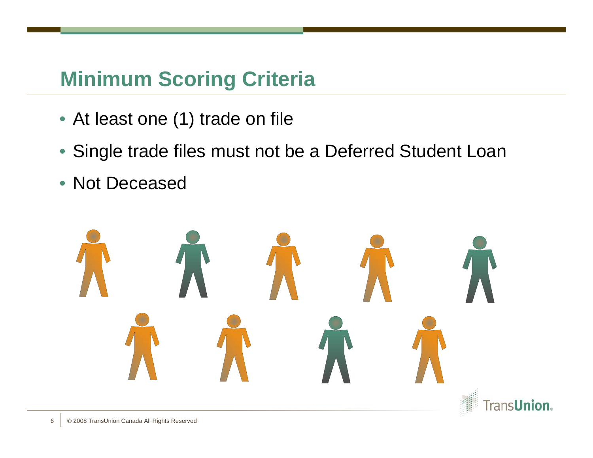# **Minimum Scoring Criteria**

- At least one (1) trade on file
- Single trade files must not be a Deferred Student Loan
- Not Deceased

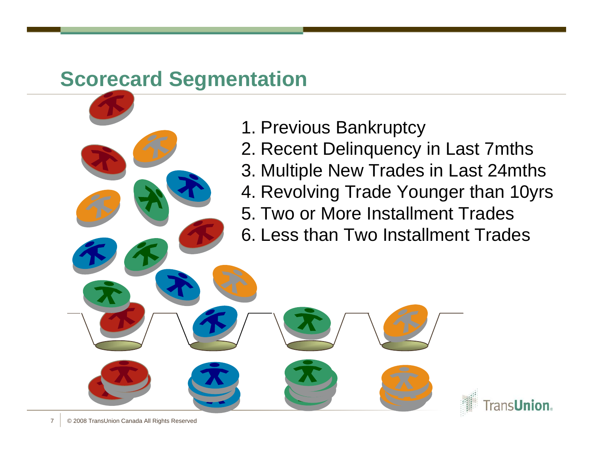- 1. Previous Bankruptcy
- 2. Recent Delinquency in Last 7mths
- 3. Multiple New Trades in Last 24mths
- 4. Revolving Trade Younger than 10yrs

**TransUnion** 

- 5. Two or More Installment Trades
- 6. Less than Two Installment Trades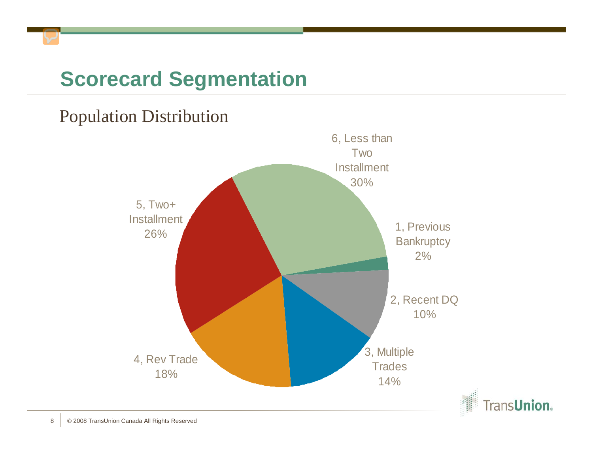#### Population Distribution

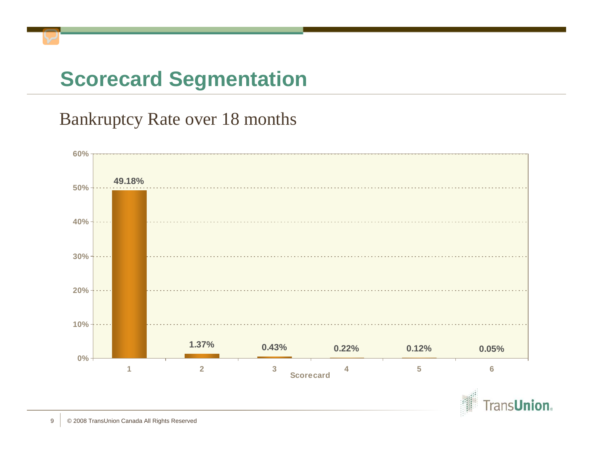#### Bankruptcy Rate over 18 months



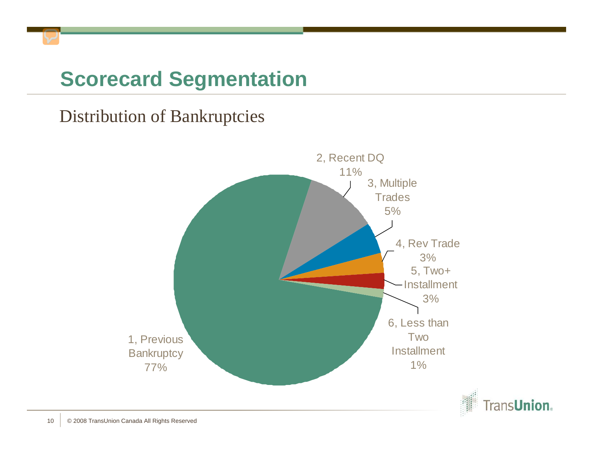#### Distribution of Bankruptcies

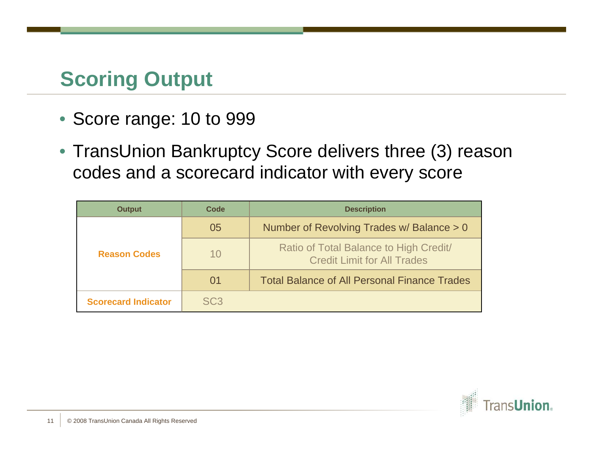### **Scoring Output**

- Score range: 10 to 999
- TransUnion Bankruptcy Score delivers three (3) reason codes and a scorecard indicator with every score

| <b>Output</b>              | Code            | <b>Description</b>                                                           |
|----------------------------|-----------------|------------------------------------------------------------------------------|
|                            | 05              | Number of Revolving Trades w/ Balance > 0                                    |
| <b>Reason Codes</b>        | 10              | Ratio of Total Balance to High Credit/<br><b>Credit Limit for All Trades</b> |
|                            | 01              | <b>Total Balance of All Personal Finance Trades</b>                          |
| <b>Scorecard Indicator</b> | SC <sub>3</sub> |                                                                              |

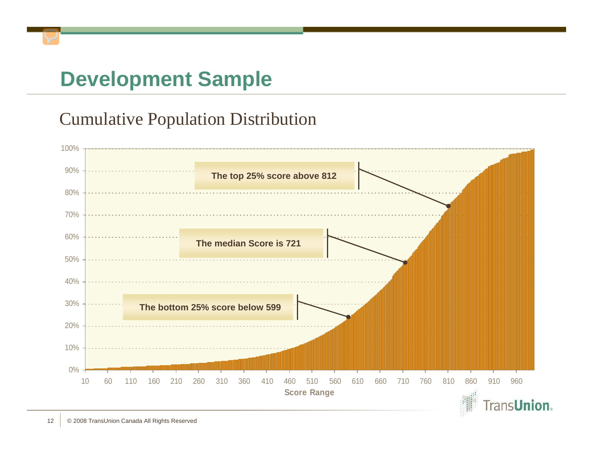# **Development Sample**

#### Cumulative Population Distribution

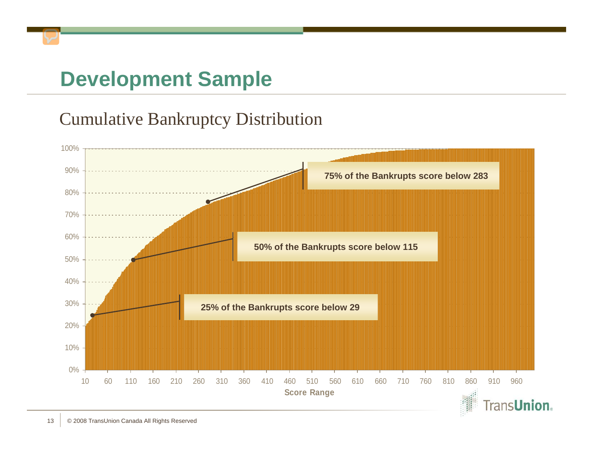## **Development Sample**

#### Cumulative Bankruptcy Distribution

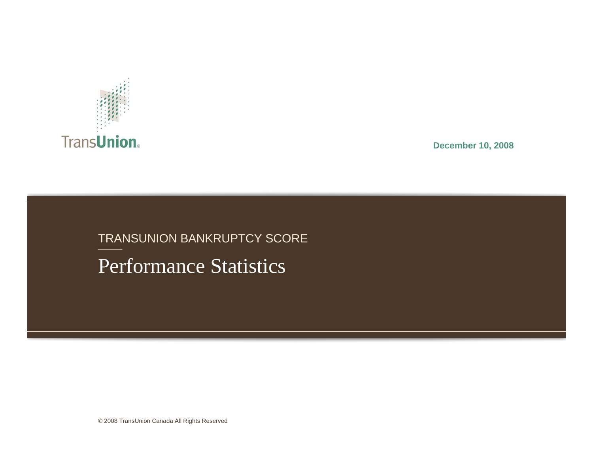

**December 10, 2008**

#### TRANSUNION BANKRUPTCY SCORE

Performance Statistics

© 2008 TransUnion Canada All Rights Reserved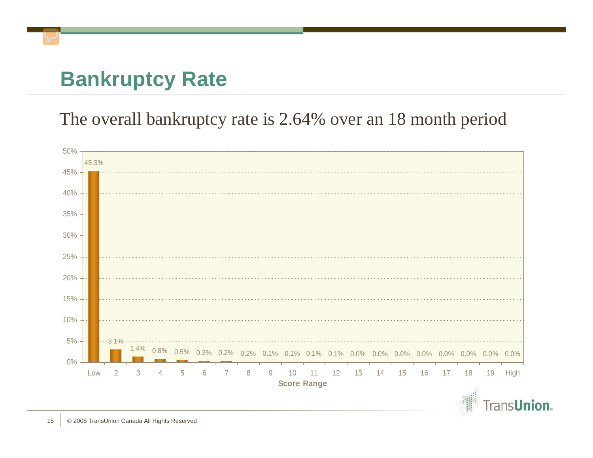### **Bankruptcy Rate**

#### The overall bankruptcy rate is 2.64% over an 18 month period



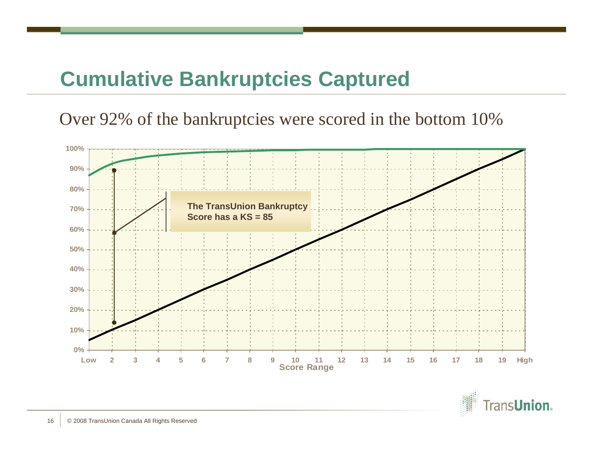### **Cumulative Bankruptcies Captured**

Over 92% of the bankruptcies were scored in the bottom 10%



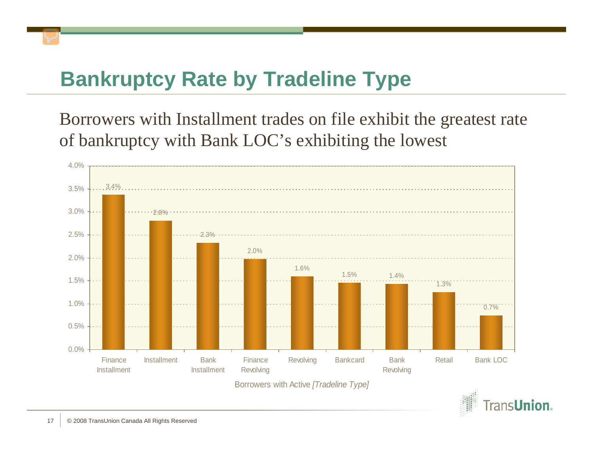### **Bankruptcy Rate by Tradeline Type**

Borrowers with Installment trades on file exhibit the greatest rate of bankruptcy with Bank LOC's exhibiting the lowest



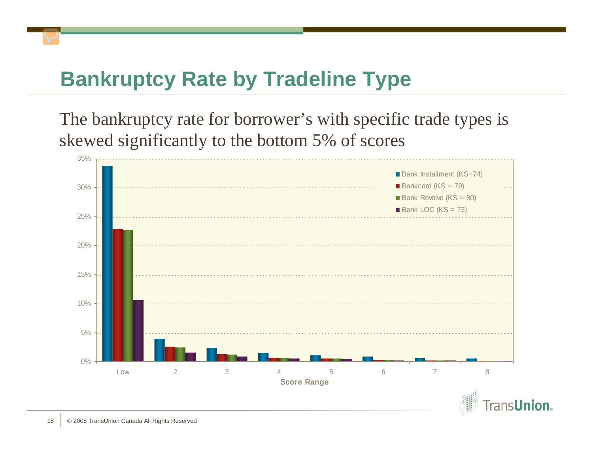### **Bankruptcy Rate by Tradeline Type**

The bankruptcy rate for borrower's with specific trade types is skewed significantly to the bottom 5% of scores

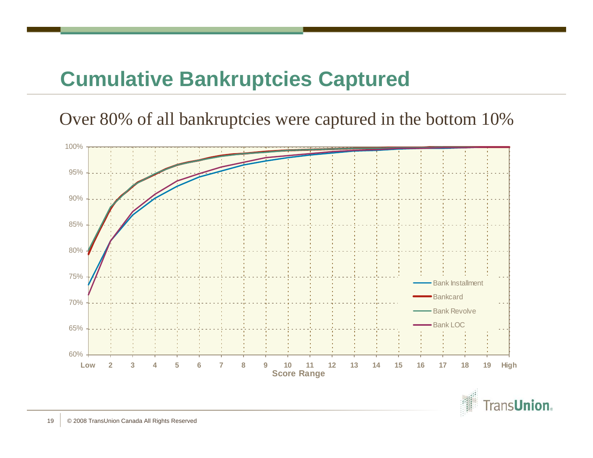#### **Cumulative Bankruptcies Captured**

Over 80% of all bankruptcies were captured in the bottom 10%



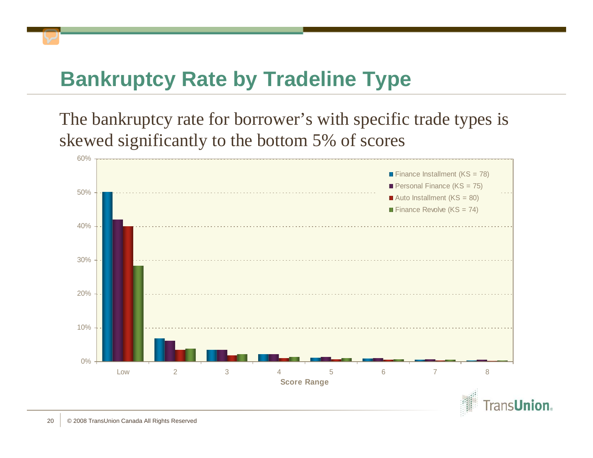### **Bankruptcy Rate by Tradeline Type**

The bankruptcy rate for borrower's with specific trade types is skewed significantly to the bottom 5% of scores

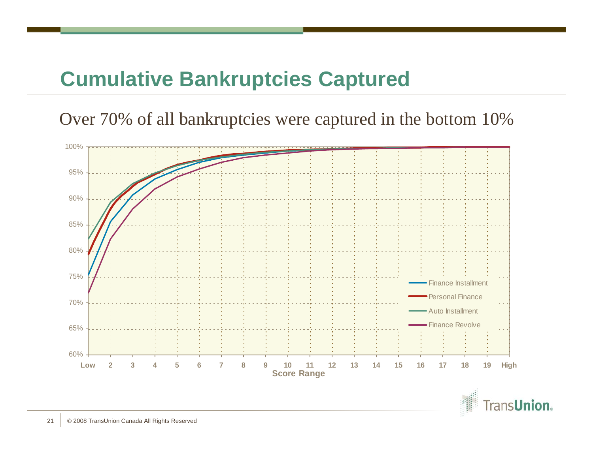### **Cumulative Bankruptcies Captured**

Over 70% of all bankruptcies were captured in the bottom 10%



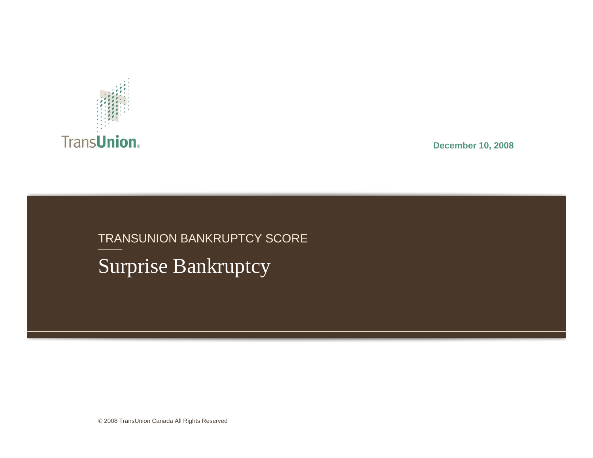

**December 10, 2008**

### Surprise Bankruptcy TRANSUNION BANKRUPTCY SCORE

© 2008 TransUnion Canada All Rights Reserved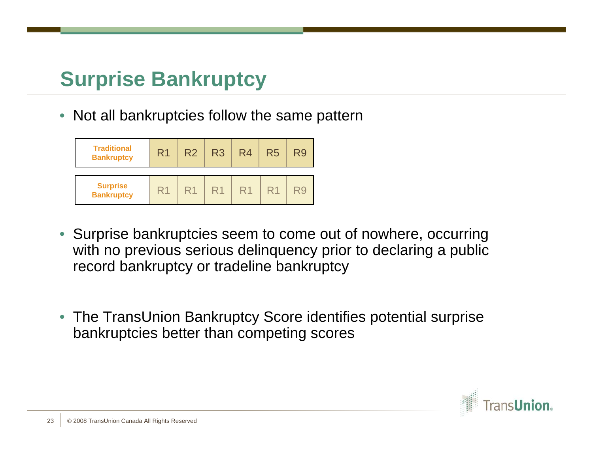• Not all bankruptcies follow the same pattern

| <b>Traditional</b><br><b>Bankruptcy</b> | R <sub>1</sub> | R <sub>2</sub> | R <sub>3</sub> | R <sub>4</sub> | R <sub>5</sub> | R9 |
|-----------------------------------------|----------------|----------------|----------------|----------------|----------------|----|
| <b>Surprise</b><br><b>Bankruptcy</b>    | R <sup>1</sup> | R1             | R1             | R1             |                |    |

- Surprise bankruptcies seem to come out of nowhere, occurring with no previous serious delinquency prior to declaring a public record bankruptcy or tradeline bankruptcy
- The TransUnion Bankruptcy Score identifies potential surprise bankruptcies better than competing scores

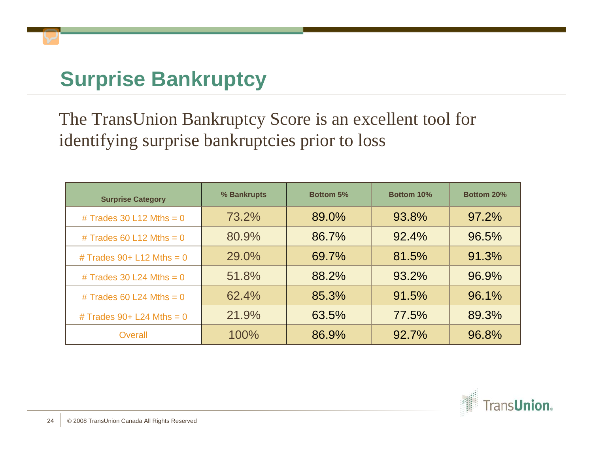The TransUnion Bankruptcy Score is an excellent tool for identifying surprise bankruptcies prior to loss

| <b>Surprise Category</b>    | % Bankrupts | <b>Bottom 5%</b> | Bottom 10% | <b>Bottom 20%</b> |
|-----------------------------|-------------|------------------|------------|-------------------|
| # Trades 30 L12 Mths = $0$  | 73.2%       | 89.0%            | 93.8%      | 97.2%             |
| # Trades 60 L12 Mths = $0$  | 80.9%       | 86.7%            | 92.4%      | 96.5%             |
| # Trades $90+L12$ Mths = 0  | 29.0%       | 69.7%            | 81.5%      | 91.3%             |
| # Trades 30 L24 Mths = $0$  | 51.8%       | 88.2%            | 93.2%      | 96.9%             |
| # Trades 60 L24 Mths = $0$  | 62.4%       | 85.3%            | 91.5%      | 96.1%             |
| # Trades $90+$ L24 Mths = 0 | 21.9%       | 63.5%            | 77.5%      | 89.3%             |
| Overall                     | 100%        | 86.9%            | 92.7%      | 96.8%             |

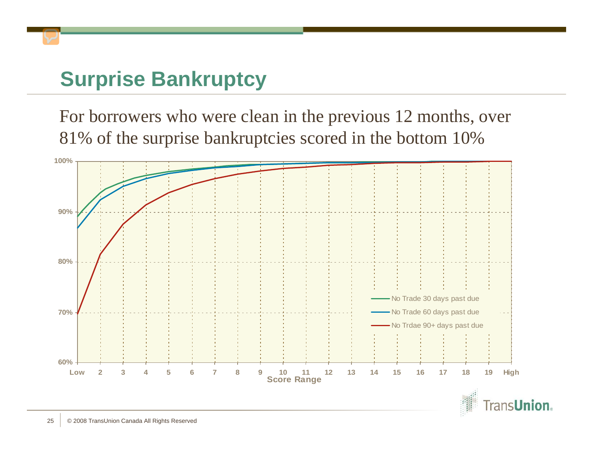For borrowers who were clean in the previous 12 months, over 81% of the surprise bankruptcies scored in the bottom 10%



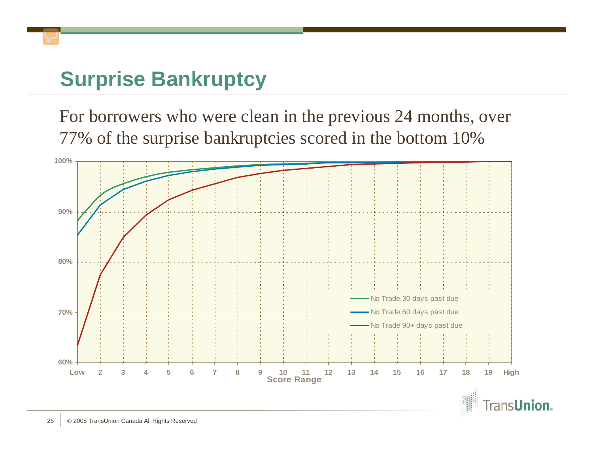For borrowers who were clean in the previous 24 months, over 77% of the surprise bankruptcies scored in the bottom 10%



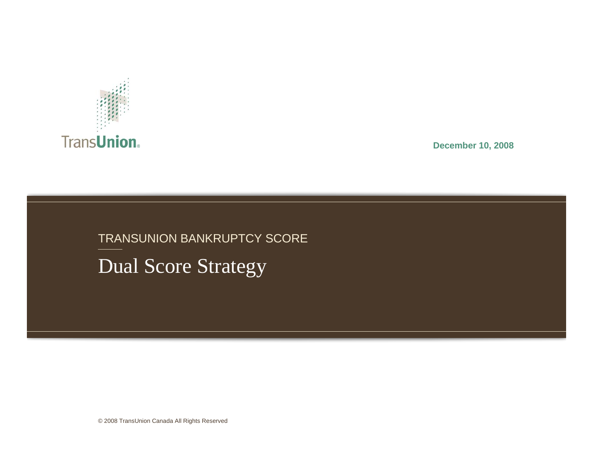

**December 10, 2008**

#### TRANSUNION BANKRUPTCY SCORE

Dual Score Strategy

© 2008 TransUnion Canada All Rights Reserved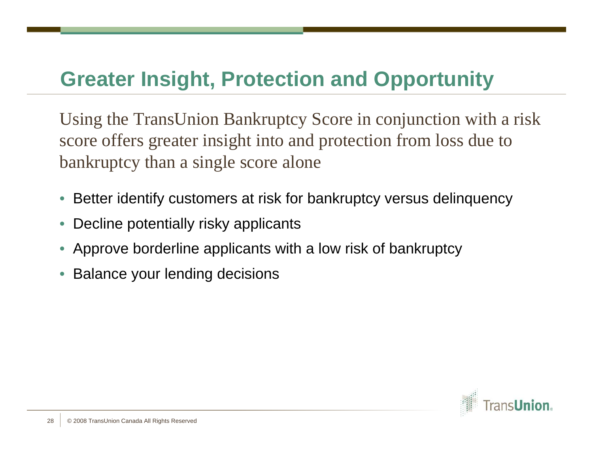#### **Greater Insight, Protection and Opportunity**

Using the TransUnion Bankruptcy Score in conjunction with a risk score offers greater insight into and protection from loss due to bankruptcy than a single score alone

- Better identify customers at risk for bankruptcy versus delinquency
- Decline potentially risky applicants
- Approve borderline applicants with a low risk of bankruptcy
- Balance your lending decisions

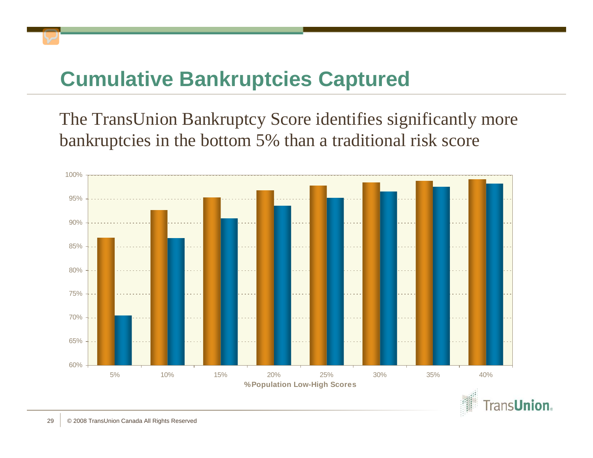### **Cumulative Bankruptcies Captured**

The TransUnion Bankruptcy Score identifies significantly more bankruptcies in the bottom 5% than a traditional risk score



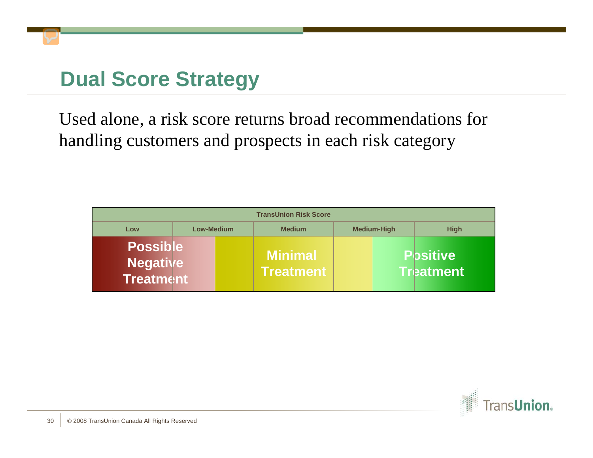Used alone, a risk score returns broad recommendations for handling customers and prospects in each risk category

| <b>TransUnion Risk Score</b>                           |            |                                    |                    |                                     |  |  |
|--------------------------------------------------------|------------|------------------------------------|--------------------|-------------------------------------|--|--|
| Low                                                    | Low-Medium | <b>Medium</b>                      | <b>Medium-High</b> | <b>High</b>                         |  |  |
| <b>Possible</b><br><b>Negative</b><br><b>Treatment</b> |            | <b>Minimal</b><br><b>Treatment</b> |                    | <b>Positive</b><br><b>Treatment</b> |  |  |

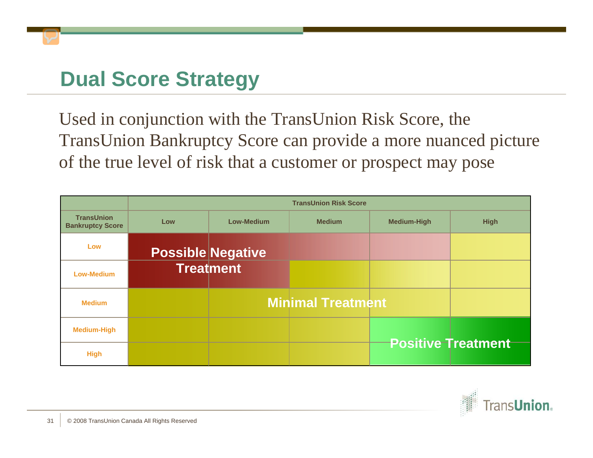Used in conjunction with the TransUnion Risk Score, the TransUnion Bankruptcy Score can provide a more nuanced picture of the true level of risk that a customer or prospect may pose

|                                              | <b>TransUnion Risk Score</b> |                          |                          |                    |                           |  |  |
|----------------------------------------------|------------------------------|--------------------------|--------------------------|--------------------|---------------------------|--|--|
| <b>TransUnion</b><br><b>Bankruptcy Score</b> | Low                          | Low-Medium               | <b>Medium</b>            | <b>Medium-High</b> | <b>High</b>               |  |  |
| Low                                          |                              | <b>Possible Negative</b> |                          |                    |                           |  |  |
| <b>Low-Medium</b>                            |                              | <b>Treatment</b>         |                          |                    |                           |  |  |
| <b>Medium</b>                                |                              |                          | <b>Minimal Treatment</b> |                    |                           |  |  |
| <b>Medium-High</b>                           |                              |                          |                          |                    |                           |  |  |
| <b>High</b>                                  |                              |                          |                          |                    | <b>Positive Treatment</b> |  |  |

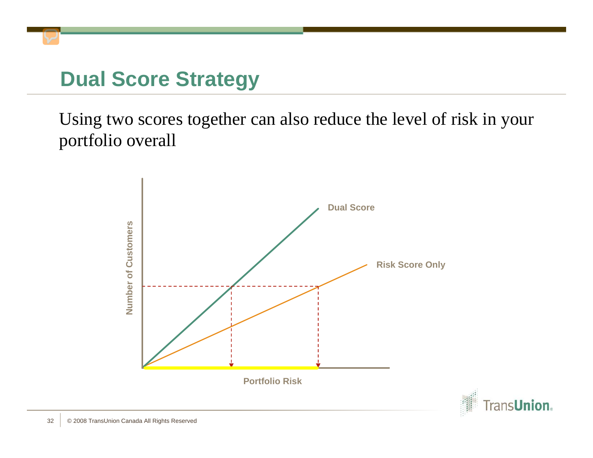Using two scores together can also reduce the level of risk in your portfolio overall



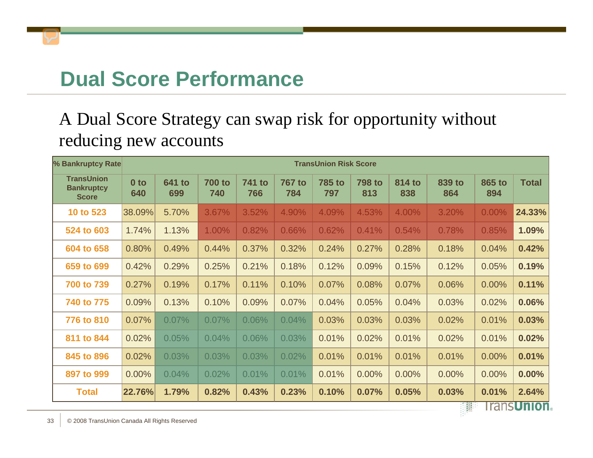#### **Dual Score Performance**

#### A Dual Score Strategy can swap risk for opportunity without reducing new accounts

| % Bankruptcy Rate                                      |                        | <b>TransUnion Risk Score</b> |                      |                      |                      |                      |                      |               |                |               |                     |
|--------------------------------------------------------|------------------------|------------------------------|----------------------|----------------------|----------------------|----------------------|----------------------|---------------|----------------|---------------|---------------------|
| <b>TransUnion</b><br><b>Bankruptcy</b><br><b>Score</b> | 0 <sub>to</sub><br>640 | <b>641 to</b><br>699         | <b>700 to</b><br>740 | <b>741 to</b><br>766 | <b>767 to</b><br>784 | <b>785 to</b><br>797 | <b>798 to</b><br>813 | 814 to<br>838 | 839 to<br>864  | 865 to<br>894 | <b>Total</b>        |
| 10 to 523                                              | 38.09%                 | 5.70%                        | 3.67%                | 3.52%                | 4.90%                | 4.09%                | 4.53%                | 4.00%         | 3.20%          | 0.00%         | 24.33%              |
| 524 to 603                                             | 1.74%                  | 1.13%                        | 1.00%                | 0.82%                | 0.66%                | 0.62%                | 0.41%                | 0.54%         | 0.78%          | 0.85%         | 1.09%               |
| 604 to 658                                             | 0.80%                  | 0.49%                        | 0.44%                | 0.37%                | 0.32%                | 0.24%                | 0.27%                | 0.28%         | 0.18%          | 0.04%         | 0.42%               |
| 659 to 699                                             | 0.42%                  | 0.29%                        | 0.25%                | 0.21%                | 0.18%                | 0.12%                | 0.09%                | 0.15%         | 0.12%          | 0.05%         | 0.19%               |
| 700 to 739                                             | 0.27%                  | 0.19%                        | 0.17%                | 0.11%                | 0.10%                | 0.07%                | 0.08%                | 0.07%         | 0.06%          | 0.00%         | 0.11%               |
| 740 to 775                                             | 0.09%                  | 0.13%                        | 0.10%                | 0.09%                | 0.07%                | 0.04%                | 0.05%                | 0.04%         | 0.03%          | 0.02%         | 0.06%               |
| 776 to 810                                             | 0.07%                  | 0.07%                        | 0.07%                | 0.06%                | 0.04%                | 0.03%                | 0.03%                | 0.03%         | 0.02%          | 0.01%         | 0.03%               |
| 811 to 844                                             | 0.02%                  | 0.05%                        | 0.04%                | 0.06%                | 0.03%                | 0.01%                | 0.02%                | 0.01%         | 0.02%          | 0.01%         | 0.02%               |
| 845 to 896                                             | 0.02%                  | 0.03%                        | 0.03%                | 0.03%                | 0.02%                | 0.01%                | 0.01%                | 0.01%         | 0.01%          | 0.00%         | 0.01%               |
| 897 to 999                                             | 0.00%                  | 0.04%                        | 0.02%                | 0.01%                | 0.01%                | 0.01%                | 0.00%                | 0.00%         | 0.00%          | 0.00%         | 0.00%               |
| <b>Total</b>                                           | 22.76%                 | 1.79%                        | 0.82%                | 0.43%                | 0.23%                | 0.10%                | 0.07%                | 0.05%         | 0.03%<br>1.556 | 0.01%         | 2.64%<br>ronclinion |

панэ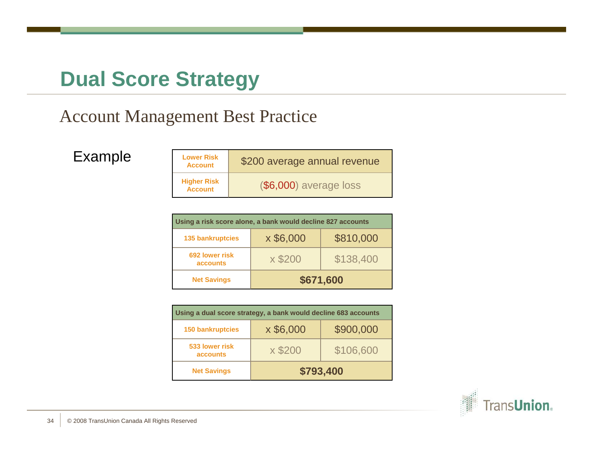#### Account Management Best Practice

Example **Lower Risk** 

 \$200 average annual revenue **Higher Risk Account**(\$6,000) average loss

| Using a risk score alone, a bank would decline 827 accounts |                        |           |  |  |  |  |
|-------------------------------------------------------------|------------------------|-----------|--|--|--|--|
| <b>135 bankruptcies</b>                                     | x \$6,000<br>\$810,000 |           |  |  |  |  |
| 692 lower risk<br><b>accounts</b>                           | x \$200                | \$138,400 |  |  |  |  |
| <b>Net Savings</b>                                          | \$671,600              |           |  |  |  |  |

| Using a dual score strategy, a bank would decline 683 accounts |           |           |  |  |  |  |
|----------------------------------------------------------------|-----------|-----------|--|--|--|--|
| <b>150 bankruptcies</b>                                        | x \$6,000 | \$900,000 |  |  |  |  |
| 533 lower risk<br><b>accounts</b>                              | x \$200   | \$106,600 |  |  |  |  |
| <b>Net Savings</b>                                             | \$793,400 |           |  |  |  |  |